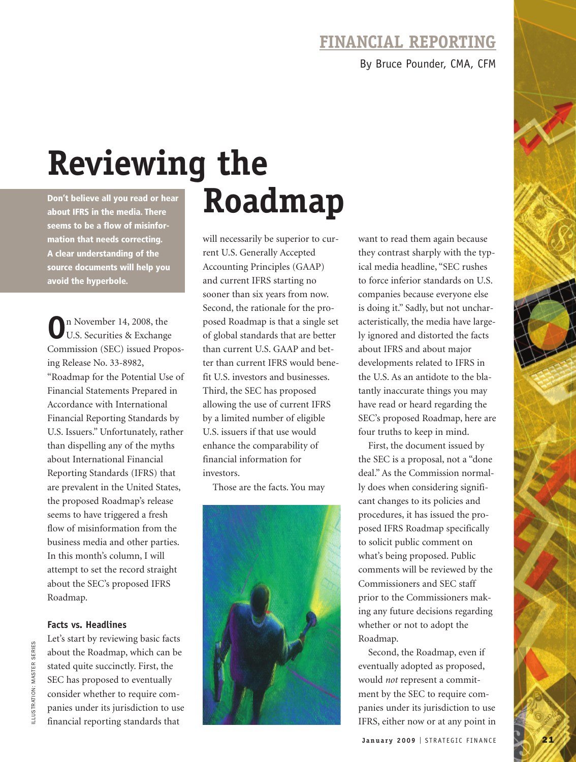## **FINANCIAL REPORTING**

By Bruce Pounder, CMA, CFM

# **Reviewing the Don't believe all you read or hear** Roadmann **about IFRS in the media. There**

**seems to be a flow of misinformation that needs correcting. A clear understanding of the source documents will help you avoid the hyperbole.**

**O**n November 14, 2008, the U.S. Securities & Exchange Commission (SEC) issued Proposing Release No. 33-8982, "Roadmap for the Potential Use of Financial Statements Prepared in Accordance with International Financial Reporting Standards by U.S. Issuers." Unfortunately, rather than dispelling any of the myths about International Financial Reporting Standards (IFRS) that are prevalent in the United States, the proposed Roadmap's release seems to have triggered a fresh flow of misinformation from the business media and other parties. In this month's column, I will attempt to set the record straight about the SEC's proposed IFRS Roadmap.

### **Facts vs. Headlines**

Let's start by reviewing basic facts about the Roadmap, which can be stated quite succinctly. First, the SEC has proposed to eventually consider whether to require companies under its jurisdiction to use financial reporting standards that

will necessarily be superior to current U.S. Generally Accepted Accounting Principles (GAAP) and current IFRS starting no sooner than six years from now. Second, the rationale for the proposed Roadmap is that a single set of global standards that are better than current U.S. GAAP and better than current IFRS would benefit U.S. investors and businesses. Third, the SEC has proposed allowing the use of current IFRS by a limited number of eligible U.S. issuers if that use would enhance the comparability of financial information for investors.

Those are the facts. You may



want to read them again because they contrast sharply with the typical media headline, "SEC rushes to force inferior standards on U.S. companies because everyone else is doing it." Sadly, but not uncharacteristically, the media have largely ignored and distorted the facts about IFRS and about major developments related to IFRS in the U.S. As an antidote to the blatantly inaccurate things you may have read or heard regarding the SEC's proposed Roadmap, here are four truths to keep in mind.

First, the document issued by the SEC is a proposal, not a "done deal." As the Commission normally does when considering significant changes to its policies and procedures, it has issued the proposed IFRS Roadmap specifically to solicit public comment on what's being proposed. Public comments will be reviewed by the Commissioners and SEC staff prior to the Commissioners making any future decisions regarding whether or not to adopt the Roadmap.

Second, the Roadmap, even if eventually adopted as proposed, would *not* represent a commitment by the SEC to require companies under its jurisdiction to use IFRS, either now or at any point in

**January 2009** | STRATEGIC FINANCE